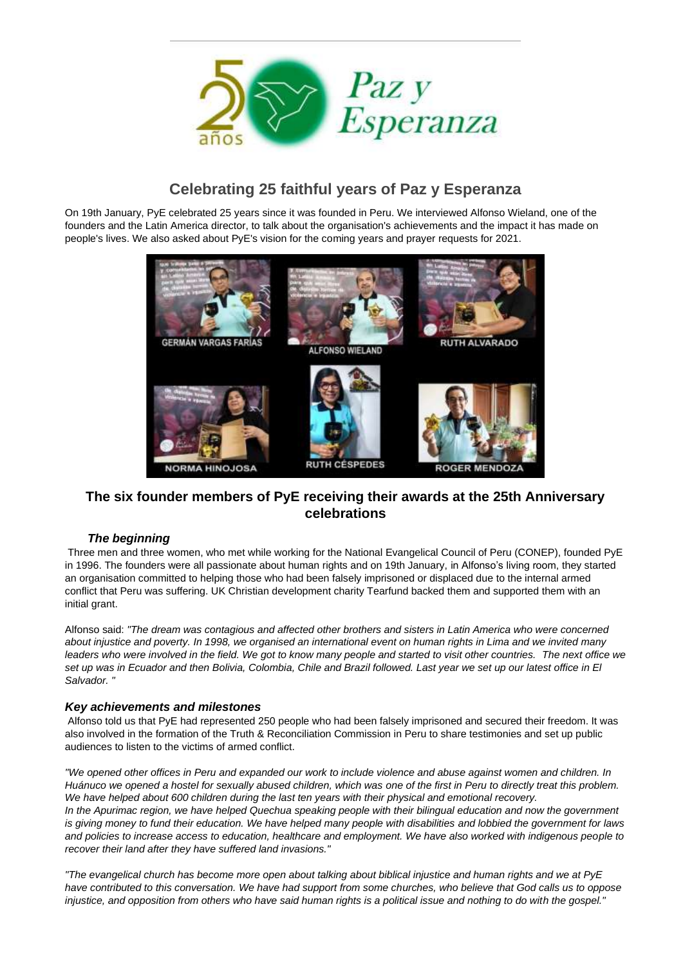

# **Celebrating 25 faithful years of Paz y Esperanza**

On 19th January, PyE celebrated 25 years since it was founded in Peru. We interviewed Alfonso Wieland, one of the founders and the Latin America director, to talk about the organisation's achievements and the impact it has made on people's lives. We also asked about PyE's vision for the coming years and prayer requests for 2021.



## **The six founder members of PyE receiving their awards at the 25th Anniversary celebrations**

## *The beginning*

Three men and three women, who met while working for the National Evangelical Council of Peru (CONEP), founded PyE in 1996. The founders were all passionate about human rights and on 19th January, in Alfonso's living room, they started an organisation committed to helping those who had been falsely imprisoned or displaced due to the internal armed conflict that Peru was suffering. UK Christian development charity Tearfund backed them and supported them with an initial grant.

Alfonso said: *"The dream was contagious and affected other brothers and sisters in Latin America who were concerned about injustice and poverty. In 1998, we organised an international event on human rights in Lima and we invited many leaders who were involved in the field. We got to know many people and started to visit other countries. The next office we set up was in Ecuador and then Bolivia, Colombia, Chile and Brazil followed. Last year we set up our latest office in El Salvador. "*

#### *Key achievements and milestones*

Alfonso told us that PyE had represented 250 people who had been falsely imprisoned and secured their freedom. It was also involved in the formation of the Truth & Reconciliation Commission in Peru to share testimonies and set up public audiences to listen to the victims of armed conflict.

*"We opened other offices in Peru and expanded our work to include violence and abuse against women and children. In Huánuco we opened a hostel for sexually abused children, which was one of the first in Peru to directly treat this problem. We have helped about 600 children during the last ten years with their physical and emotional recovery. In the Apurimac region, we have helped Quechua speaking people with their bilingual education and now the government is giving money to fund their education. We have helped many people with disabilities and lobbied the government for laws and policies to increase access to education, healthcare and employment. We have also worked with indigenous people to recover their land after they have suffered land invasions."*

*"The evangelical church has become more open about talking about biblical injustice and human rights and we at PyE have contributed to this conversation. We have had support from some churches, who believe that God calls us to oppose injustice, and opposition from others who have said human rights is a political issue and nothing to do with the gospel."*